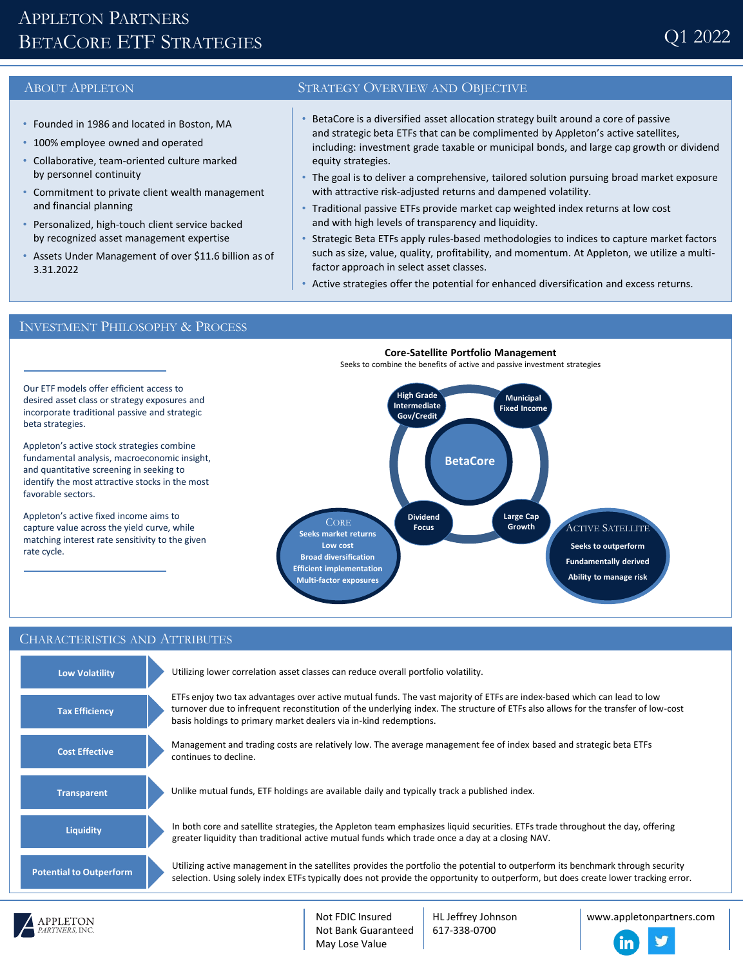# APPLETON PARTNERS BETACORE ETF STRATEGIES

- Founded in 1986 and located in Boston, MA
- 100% employee owned and operated
- Collaborative, team-oriented culture marked by personnel continuity
- Commitment to private client wealth management and financial planning
- Personalized, high-touch client service backed by recognized asset management expertise
- Assets Under Management of over \$11.6 billion as of 3.31.2022

### ABOUT APPLETON STRATEGY OVERVIEW AND OBJECTIVE

- BetaCore is a diversified asset allocation strategy built around a core of passive and strategic beta ETFs that can be complimented by Appleton's active satellites, including: investment grade taxable or municipal bonds, and large cap growth or dividend equity strategies.
- The goal is to deliver a comprehensive, tailored solution pursuing broad market exposure with attractive risk-adjusted returns and dampened volatility.
- Traditional passive ETFs provide market cap weighted index returns at low cost and with high levels of transparency and liquidity.
- Strategic Beta ETFs apply rules-based methodologies to indices to capture market factors such as size, value, quality, profitability, and momentum. At Appleton, we utilize a multifactor approach in select asset classes.
- Active strategies offer the potential for enhanced diversification and excess returns.

# INVESTMENT PHILOSOPHY & PROCESS

Our ETF models offer efficient access to desired asset class or strategy exposures and incorporate traditional passive and strategic

Appleton's active stock strategies combine fundamental analysis, macroeconomic insight, and quantitative screening in seeking to identify the most attractive stocks in the most

Appleton's active fixed income aims to capture value across the yield curve, while matching interest rate sensitivity to the given

beta strategies.

favorable sectors.

rate cycle.



## CHARACTERISTICS AND ATTRIBUTES

| <b>Low Volatility</b>          | Utilizing lower correlation asset classes can reduce overall portfolio volatility.                                                                                                                                                                                                                                                |
|--------------------------------|-----------------------------------------------------------------------------------------------------------------------------------------------------------------------------------------------------------------------------------------------------------------------------------------------------------------------------------|
| <b>Tax Efficiency</b>          | ETFs enjoy two tax advantages over active mutual funds. The vast majority of ETFs are index-based which can lead to low<br>turnover due to infrequent reconstitution of the underlying index. The structure of ETFs also allows for the transfer of low-cost<br>basis holdings to primary market dealers via in-kind redemptions. |
| <b>Cost Effective</b>          | Management and trading costs are relatively low. The average management fee of index based and strategic beta ETFs<br>continues to decline.                                                                                                                                                                                       |
| <b>Transparent</b>             | Unlike mutual funds, ETF holdings are available daily and typically track a published index.                                                                                                                                                                                                                                      |
| <b>Liquidity</b>               | In both core and satellite strategies, the Appleton team emphasizes liquid securities. ETFs trade throughout the day, offering<br>greater liquidity than traditional active mutual funds which trade once a day at a closing NAV.                                                                                                 |
| <b>Potential to Outperform</b> | Utilizing active management in the satellites provides the portfolio the potential to outperform its benchmark through security<br>selection. Using solely index ETFs typically does not provide the opportunity to outperform, but does create lower tracking error.                                                             |



HL Jeffrey Johnson 617-338-0700

www.appletonpartners.com